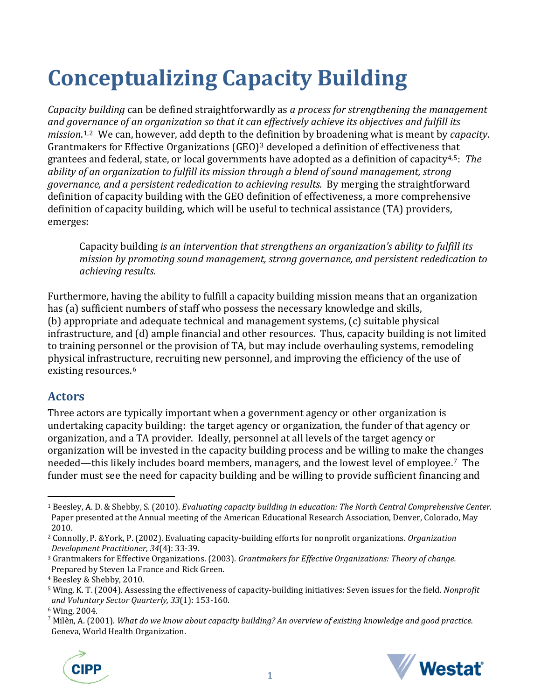# **Conceptualizing Capacity Building**

*Capacity building* can be defined straightforwardly as *a process for strengthening the management and governance of an organization so that it can effectively achieve its objectives and fulfill its mission*. [1](#page-0-0),[2](#page-0-1) We can, however, add depth to the [de](#page-0-2)finition by broadening what is meant by *capacity*. Grantmakers for Effective Organizations (GEO)<sup>3</sup> developed a definition of effectiveness that grantees and federal, state, or local governments have adopted as a definition of capacity[4,](#page-0-3)[5](#page-0-4): *The ability of an organization to fulfill its mission through a blend of sound management, strong governance, and a persistent rededication to achieving results.* By merging the straightforward definition of capacity building with the GEO definition of effectiveness, a more comprehensive definition of capacity building, which will be useful to technical assistance (TA) providers, emerges:

Capacity building *is an intervention that strengthens an organization's ability to fulfill its mission by promoting sound management, strong governance, and persistent rededication to achieving results*.

Furthermore, having the ability to fulfill a capacity building mission means that an organization has (a) sufficient numbers of staff who possess the necessary knowledge and skills, (b) appropriate and adequate technical and management systems, (c) suitable physical infrastructure, and (d) ample financial and other resources. Thus, capacity building is not limited to training personnel or the provision of TA, but may include overhauling systems, remodeling physical infrastructure, recruiting new personnel, and improving the efficiency of the use of existing resources.[6](#page-0-5)

#### **Actors**

Three actors are typically important when a government agency or other organization is undertaking capacity building: the target agency or organization, the funder of that agency or organization, and a TA provider. Ideally, personnel at all levels of the target agency or organization will be invested in the capacity building process and be willing to make the changes needed—this likely includes board members, managers, and the lowest level of employee.[7](#page-0-6) The funder must see the need for capacity building and be willing to provide sufficient financing and

<span id="page-0-6"></span><sup>7</sup> Milèn, A. (2001). *What do we know about capacity building? An overview of existing knowledge and good practice.* Geneva, World Health Organization.





<span id="page-0-0"></span> $\overline{a}$ <sup>1</sup> Beesley, A. D. & Shebby, S. (2010). *Evaluating capacity building in education: The North Central Comprehensive Center*. Paper presented at the Annual meeting of the American Educational Research Association, Denver, Colorado, May 2010.

<span id="page-0-1"></span><sup>2</sup> Connolly, P. &York, P. (2002). Evaluating capacity-building efforts for nonprofit organizations. *Organization Development Practitioner, 34*(4): 33-39.

<span id="page-0-2"></span><sup>3</sup> Grantmakers for Effective Organizations. (2003). *Grantmakers for Effective Organizations: Theory of change.* Prepared by Steven La France and Rick Green.

<span id="page-0-3"></span><sup>4</sup> Beesley & Shebby, 2010.

<span id="page-0-4"></span><sup>5</sup> Wing, K. T. (2004). Assessing the effectiveness of capacity-building initiatives: Seven issues for the field. *Nonprofit and Voluntary Sector Quarterly, 33*(1): 153-160.

<span id="page-0-5"></span><sup>6</sup> Wing, 2004.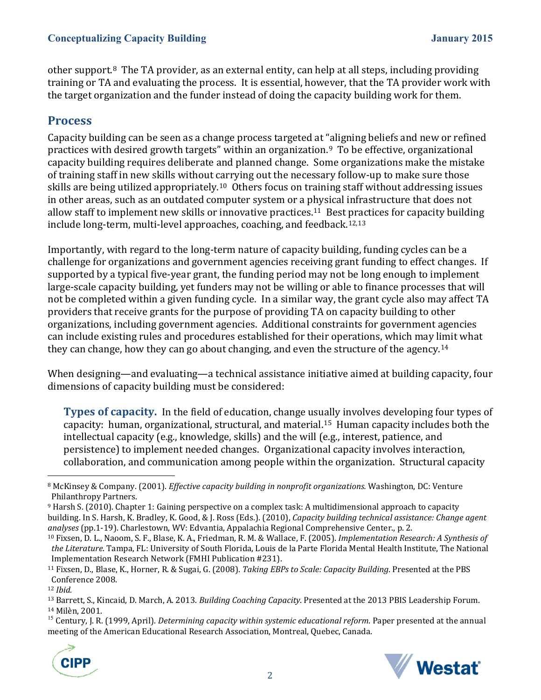other support.[8](#page-1-0) The TA provider, as an external entity, can help at all steps, including providing training or TA and evaluating the process. It is essential, however, that the TA provider work with the target organization and the funder instead of doing the capacity building work for them.

### **Process**

Capacity building can be seen as a change process targeted at "aligning beliefs and new or refined practices with desired growth targets" within an organization.[9](#page-1-1) To be effective, organizational capacity building requires deliberate and planned change. Some organizations make the mistake of training staff in new skills without carrying out the necessary follow-up to make sure those skills are being utilized appropriately.[10](#page-1-2) Others focus on training staff without addressing issues in other areas, such as an outdated computer system or a physical infrastructure that does not allow staff to implement new skills or innovative practices.[11](#page-1-3) Best [pr](#page-1-4)[ac](#page-1-5)tices for capacity building include long-term, multi-level approaches, coaching, and feedback.12,13

Importantly, with regard to the long-term nature of capacity building, funding cycles can be a challenge for organizations and government agencies receiving grant funding to effect changes. If supported by a typical five-year grant, the funding period may not be long enough to implement large-scale capacity building, yet funders may not be willing or able to finance processes that will not be completed within a given funding cycle. In a similar way, the grant cycle also may affect TA providers that receive grants for the purpose of providing TA on capacity building to other organizations, including government agencies. Additional constraints for government agencies can include existing rules and procedures established for their operations, which may limit what they can change, how they can go about changing, and even the structure of the agency.<sup>[14](#page-1-6)</sup>

When designing—and evaluating—a technical assistance initiative aimed at building capacity, four dimensions of capacity building must be considered:

**Types of capacity.** In the field of education, change usually involves developing four types of capacity: human, organizational, structural, and material.[15](#page-1-7) Human capacity includes both the intellectual capacity (e.g., knowledge, skills) and the will (e.g., interest, patience, and persistence) to implement needed changes. Organizational capacity involves interaction, collaboration, and communication among people within the organization. Structural capacity

<span id="page-1-1"></span><sup>9</sup> Harsh S. (2010). Chapter 1: Gaining perspective on a complex task: A multidimensional approach to capacity building. In S. Harsh, K. Bradley, K. Good, & J. Ross (Eds.). (2010), *Capacity building technical assistance: Change agent analyses* (pp.1-19). Charlestown, WV: Edvantia, Appalachia Regional Comprehensive Center., p. 2.

 $\overline{a}$ 

<span id="page-1-7"></span><span id="page-1-6"></span><sup>&</sup>lt;sup>15</sup> Century, J. R. (1999, April). *Determining capacity within systemic educational reform*. Paper presented at the annual meeting of the American Educational Research Association, Montreal, Quebec, Canada.





<span id="page-1-0"></span><sup>8</sup> McKinsey & Company. (2001). *Effective capacity building in nonprofit organizations.* Washington, DC: Venture Philanthropy Partners.

<span id="page-1-2"></span><sup>10</sup> Fixsen, D. L., Naoom, S. F., Blase, K. A., Friedman, R. M. & Wallace, F. (2005). *Implementation Research: A Synthesis of the Literature*. Tampa, FL: University of South Florida, Louis de la Parte Florida Mental Health Institute, The National Implementation Research Network (FMHI Publication #231).

<span id="page-1-3"></span><sup>11</sup> Fixsen, D., Blase, K., Horner, R. & Sugai, G. (2008). *Taking EBPs to Scale: Capacity Building*. Presented at the PBS Conference 2008.

<span id="page-1-4"></span><sup>12</sup> *Ibid.*

<span id="page-1-5"></span><sup>&</sup>lt;sup>13</sup> Barrett, S., Kincaid, D. March, A. 2013. *Building Coaching Capacity*. Presented at the 2013 PBIS Leadership Forum.<br><sup>14</sup> Milèn. 2001.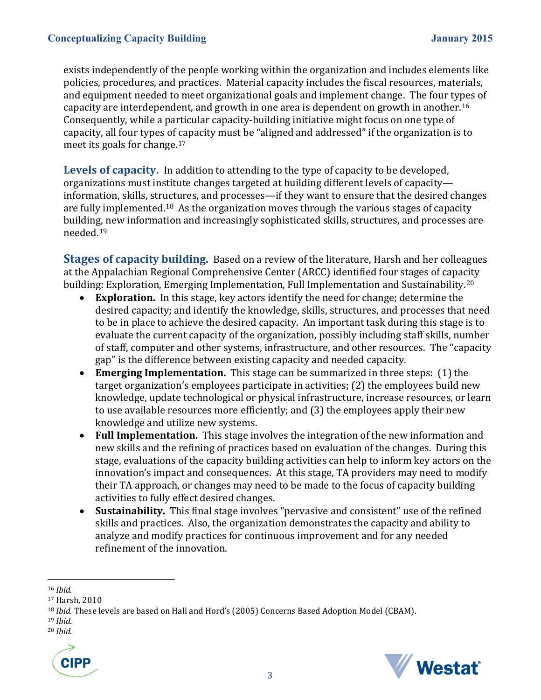exists independently of the people working within the organization and includes elements like policies, procedures, and practices. Material capacity includes the fiscal resources, materials, and equipment needed to meet organizational goals and implement change. The four types of capacity are interdependent, and growth in one area is dependent on growth in another.[16](#page-2-0)  Consequently, while a particular capacity-building initiative might focus on one type of capacity, all four types of capacity must be "aligned and addressed" if the organization is to meet its goals for change.[17](#page-2-1)

**Levels of capacity.** In addition to attending to the type of capacity to be developed, organizations must institute changes targeted at building different levels of capacity information, skills, structures, and processes—if they want to ensure that the desired changes are fully implemented.[18](#page-2-2) As the organization moves through the various stages of capacity building, new information and increasingly sophisticated skills, structures, and processes are needed.[19](#page-2-3)

**Stages of capacity building.** Based on a review of the literature, Harsh and her colleagues at the Appalachian Regional Comprehensive Center (ARCC) identified four stages of capacity building: Exploration, Emerging Implementation, Full Implementation and Sustainability.<sup>[20](#page-2-4)</sup><br>• **Exploration.** In this stage, key actors identify the need for change: determine the

- **Exploration.** In this stage, key actors identify the need for change; determine the desired capacity; and identify the knowledge, skills, structures, and processes that need to be in place to achieve the desired capacity. An important task during this stage is to evaluate the current capacity of the organization, possibly including staff skills, number of staff, computer and other systems, infrastructure, and other resources. The "capacity gap" is the difference between existing capacity and needed capacity.
- **Emerging Implementation.** This stage can be summarized in three steps: (1) the target organization's employees participate in activities; (2) the employees build new knowledge, update technological or physical infrastructure, increase resources, or learn to use available resources more efficiently; and (3) the employees apply their new knowledge and utilize new systems.
- **Full Implementation.** This stage involves the integration of the new information and new skills and the refining of practices based on evaluation of the changes. During this stage, evaluations of the capacity building activities can help to inform key actors on the innovation's impact and consequences. At this stage, TA providers may need to modify their TA approach, or changes may need to be made to the focus of capacity building activities to fully effect desired changes.
- **Sustainability.** This final stage involves "pervasive and consistent" use of the refined skills and practices. Also, the organization demonstrates the capacity and ability to analyze and modify practices for continuous improvement and for any needed refinement of the innovation.

 $\overline{a}$ 

<span id="page-2-4"></span><sup>19</sup> *Ibid*. 20 *Ibid*.





<span id="page-2-0"></span><sup>16</sup> *Ibid.*

<span id="page-2-1"></span><sup>17</sup> Harsh, 2010

<span id="page-2-2"></span><sup>&</sup>lt;sup>18</sup> *Ibid*. These levels are based on Hall and Hord's (2005) Concerns Based Adoption Model (CBAM).<br><sup>19</sup> *Ibid*.

<span id="page-2-3"></span>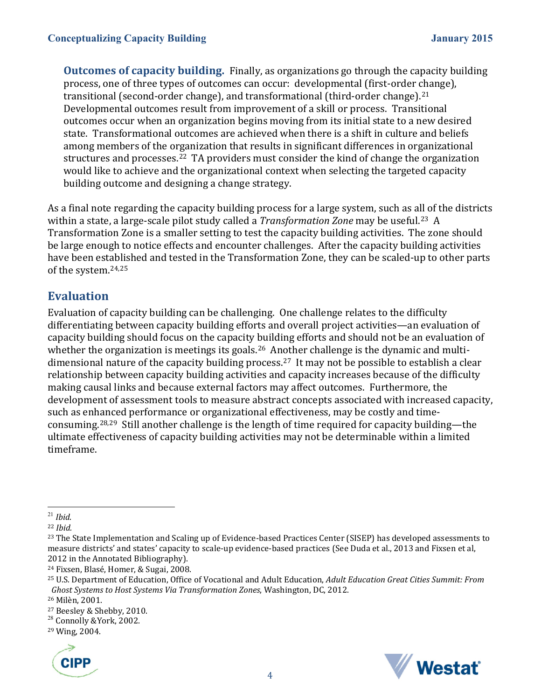**Outcomes of capacity building.** Finally, as organizations go through the capacity building process, one of three types of outcomes can occur: developmental (first-order change), transitional (second-order change), and transformational (third-order change).[21](#page-3-0) Developmental outcomes result from improvement of a skill or process. Transitional outcomes occur when an organization begins moving from its initial state to a new desired state. Transformational outcomes are achieved when there is a shift in culture and beliefs among members of the organization that results in significant differences in organizational structures and processes.<sup>22</sup> TA providers must consider the kind of change the organization would like to achieve and the organizational context when selecting the targeted capacity building outcome and designing a change strategy.

As a final note regarding the capacity building process for a large system, such as all of the districts within a state, a large-scale pilot study called a *Transformation Zone* may be useful.<sup>[23](#page-3-2)</sup> A Transformation Zone is a smaller setting to test the capacity building activities. The zone should be large enough to notice effects and encounter challenges. After the capacity building activities have been established and tested in the Transformation Zone, they can be scaled-up to other parts of the system.[24,](#page-3-3)[25](#page-3-4)

## **Evaluation**

Evaluation of capacity building can be challenging. One challenge relates to the difficulty differentiating between capacity building efforts and overall project activities—an evaluation of capacity building should focus on the capacity building efforts and should not be an evaluation of whether the organization is meetings its goals.<sup>26</sup> An[ot](#page-3-6)her challenge is the dynamic and multidimensional nature of the capacity building process.27 It may not be possible to establish a clear relationship between capacity building activities and capacity increases because of the difficulty making causal links and because external factors may affect outcomes. Furthermore, the development of assessment tools to measure abstract concepts associated with increased capacity, such as enhanced performance or organizational effectiveness, may be costly and timeconsuming.[28,](#page-3-7)[29](#page-3-8) Still another challenge is the length of time required for capacity building—the ultimate effectiveness of capacity building activities may not be determinable within a limited timeframe.

<span id="page-3-8"></span><sup>29</sup> Wing, 2004.





<span id="page-3-0"></span> $\overline{a}$ <sup>21</sup> *Ibid*. 22 *Ibid.*

<span id="page-3-1"></span>

<span id="page-3-2"></span><sup>&</sup>lt;sup>23</sup> The State Implementation and Scaling up of Evidence-based Practices Center (SISEP) has developed assessments to measure districts' and states' capacity to scale-up evidence-based practices (See Duda et al., 2013 and Fixsen et al, 2012 in the Annotated Bibliography).

<span id="page-3-3"></span><sup>24</sup> Fixsen, Blasé, Homer, & Sugai, 2008.

<span id="page-3-4"></span><sup>25</sup> U.S. Department of Education, Office of Vocational and Adult Education, *Adult Education Great Cities Summit: From Ghost Systems to Host Systems Via Transformation Zones*, Washington, DC, 2012.

<span id="page-3-5"></span><sup>&</sup>lt;sup>26</sup> Milèn, 2001.<br><sup>27</sup> Beesley & Shebby, 2010.

<span id="page-3-7"></span><span id="page-3-6"></span><sup>&</sup>lt;sup>28</sup> Connolly &York, 2002.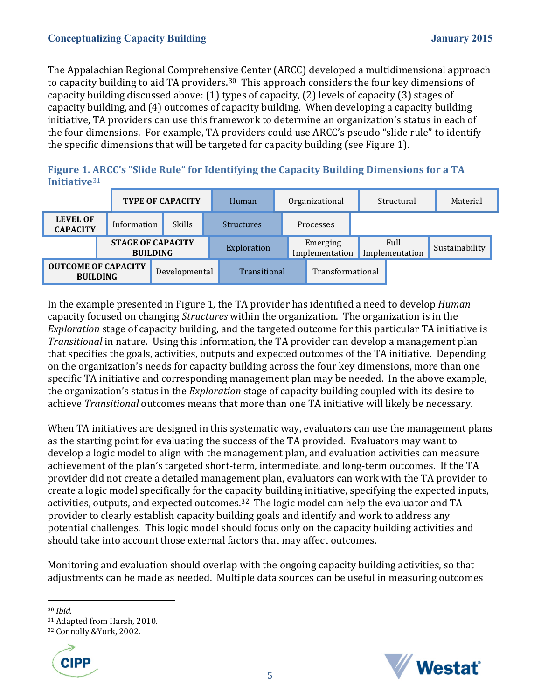#### **Conceptualizing Capacity Building January 2015**

The Appalachian Regional Comprehensive Center (ARCC) developed a multidimensional approach to capacity building to aid TA providers.<sup>30</sup> This approach considers the four key dimensions of capacity building discussed above: (1) types of capacity, (2) levels of capacity (3) stages of capacity building, and (4) outcomes of capacity building. When developing a capacity building initiative, TA providers can use this framework to determine an organization's status in each of the four dimensions. For example, TA providers could use ARCC's pseudo "slide rule" to identify the specific dimensions that will be targeted for capacity building (see Figure 1).

**Figure 1. [AR](#page-4-1)CC's "Slide Rule" for Identifying the Capacity Building Dimensions for a TA Initiative**<sup>31</sup>



In the example presented in Figure 1, the TA provider has identified a need to develop *Human* capacity focused on changing *Structures* within the organization. The organization is in the *Exploration* stage of capacity building, and the targeted outcome for this particular TA initiative is *Transitional* in nature. Using this information, the TA provider can develop a management plan that specifies the goals, activities, outputs and expected outcomes of the TA initiative. Depending on the organization's needs for capacity building across the four key dimensions, more than one specific TA initiative and corresponding management plan may be needed. In the above example, the organization's status in the *Exploration* stage of capacity building coupled with its desire to achieve *Transitional* outcomes means that more than one TA initiative will likely be necessary.

When TA initiatives are designed in this systematic way, evaluators can use the management plans as the starting point for evaluating the success of the TA provided. Evaluators may want to develop a logic model to align with the management plan, and evaluation activities can measure achievement of the plan's targeted short-term, intermediate, and long-term outcomes. If the TA provider did not create a detailed management plan, evaluators can work with the TA provider to create a logic model specifically for the capacity building initiative, specifying the expected inputs, activities, outputs, and expected outcomes.[32](#page-4-2) The logic model can help the evaluator and TA provider to clearly establish capacity building goals and identify and work to address any potential challenges. This logic model should focus only on the capacity building activities and should take into account those external factors that may affect outcomes.

Monitoring and evaluation should overlap with the ongoing capacity building activities, so that adjustments can be made as needed. Multiple data sources can be useful in measuring outcomes

<span id="page-4-2"></span>



<span id="page-4-0"></span> $\overline{a}$ <sup>30</sup> *Ibid.*

<span id="page-4-1"></span><sup>&</sup>lt;sup>31</sup> Adapted from Harsh, 2010.<br><sup>32</sup> Connolly &York, 2002.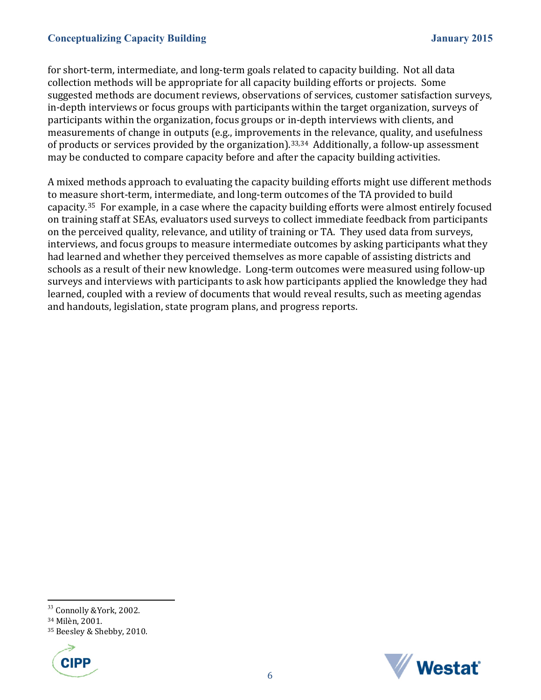#### **Conceptualizing Capacity Building January 2015**

for short-term, intermediate, and long-term goals related to capacity building. Not all data collection methods will be appropriate for all capacity building efforts or projects. Some suggested methods are document reviews, observations of services, customer satisfaction surveys, in-depth interviews or focus groups with participants within the target organization, surveys of participants within the organization, focus groups or in-depth interviews with clients, and measurements of change in outputs (e.g., improvements in the relevance, quality, and usefulness of products or services provided by the organization). [33](#page-5-0),[34](#page-5-1) Additionally, a follow-up assessment may be conducted to compare capacity before and after the capacity building activities.

A mixed methods approach to evaluating the capacity building efforts might use different methods to measure short-term, intermediate, and long-term outcomes of the TA provided to build capacity.[35](#page-5-2) For example, in a case where the capacity building efforts were almost entirely focused on training staff at SEAs, evaluators used surveys to collect immediate feedback from participants on the perceived quality, relevance, and utility of training or TA. They used data from surveys, interviews, and focus groups to measure intermediate outcomes by asking participants what they had learned and whether they perceived themselves as more capable of assisting districts and schools as a result of their new knowledge. Long-term outcomes were measured using follow-up surveys and interviews with participants to ask how participants applied the knowledge they had learned, coupled with a review of documents that would reveal results, such as meeting agendas and handouts, legislation, state program plans, and progress reports.

<span id="page-5-2"></span><sup>35</sup> Beesley & Shebby, 2010.





 $\overline{a}$ <sup>33</sup> Connolly &York, 2002.

<span id="page-5-1"></span><span id="page-5-0"></span><sup>34</sup> Milèn, 2001.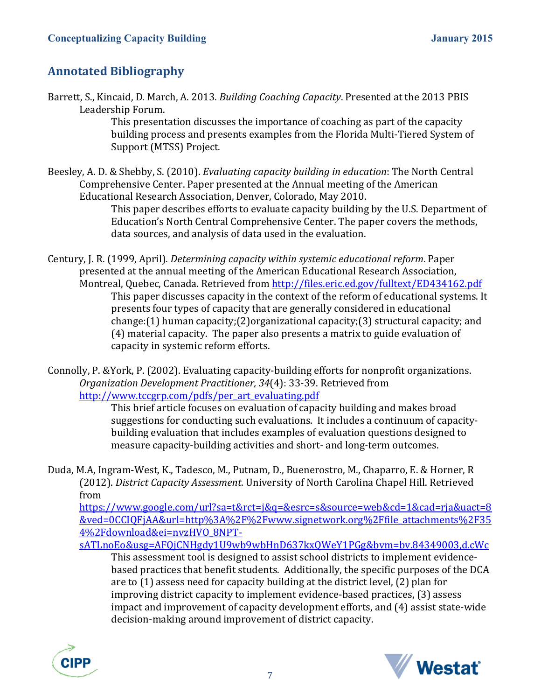## **Annotated Bibliography**

Barrett, S., Kincaid, D. March, A. 2013. *Building Coaching Capacity*. Presented at the 2013 PBIS Leadership Forum.

This presentation discusses the importance of coaching as part of the capacity building process and presents examples from the Florida Multi-Tiered System of Support (MTSS) Project.

Beesley, A. D. & Shebby, S. (2010). *Evaluating capacity building in education*: The North Central Comprehensive Center. Paper presented at the Annual meeting of the American Educational Research Association, Denver, Colorado, May 2010.

> This paper describes efforts to evaluate capacity building by the U.S. Department of Education's North Central Comprehensive Center. The paper covers the methods, data sources, and analysis of data used in the evaluation.

Century, J. R. (1999, April). *Determining capacity within systemic educational reform*. Paper presented at the annual meeting of the American Educational Research Association, Montreal, Quebec, Canada. Retrieved from<http://files.eric.ed.gov/fulltext/ED434162.pdf> This paper discusses capacity in the context of the reform of educational systems. It presents four types of capacity that are generally considered in educational change:(1) human capacity;(2)organizational capacity;(3) structural capacity; and (4) material capacity. The paper also presents a matrix to guide evaluation of capacity in systemic reform efforts.

Connolly, P. &York, P. (2002). Evaluating capacity-building efforts for nonprofit organizations. *Organization Development Practitioner, 34*(4): 33-39. Retrieved from [http://www.tccgrp.com/pdfs/per\\_art\\_evaluating.pdf](http://www.tccgrp.com/pdfs/per_art_evaluating.pdf)

> This brief article focuses on evaluation of capacity building and makes broad suggestions for conducting such evaluations. It includes a continuum of capacitybuilding evaluation that includes examples of evaluation questions designed to measure capacity-building activities and short- and long-term outcomes.

Duda, M.A, Ingram-West, K., Tadesco, M., Putnam, D., Buenerostro, M., Chaparro, E. & Horner, R (2012). *District Capacity Assessment*. University of North Carolina Chapel Hill. Retrieved from

[https://www.google.com/url?sa=t&rct=j&q=&esrc=s&source=web&cd=1&cad=rja&uact=8](https://www.google.com/url?sa=t&rct=j&q=&esrc=s&source=web&cd=1&cad=rja&uact=8&ved=0CCIQFjAA&url=http%3A%2F%2Fwww.signetwork.org%2Ffile_attachments%2F354%2Fdownload&ei=nvzHVO_8NPT-sATLnoEo&usg=AFQjCNHgdy1U9wb9wbHnD637kxQWeY1PGg&bvm=bv.84349003,d.cWc) [&ved=0CCIQFjAA&url=http%3A%2F%2Fwww.signetwork.org%2Ffile\\_attachments%2F35](https://www.google.com/url?sa=t&rct=j&q=&esrc=s&source=web&cd=1&cad=rja&uact=8&ved=0CCIQFjAA&url=http%3A%2F%2Fwww.signetwork.org%2Ffile_attachments%2F354%2Fdownload&ei=nvzHVO_8NPT-sATLnoEo&usg=AFQjCNHgdy1U9wb9wbHnD637kxQWeY1PGg&bvm=bv.84349003,d.cWc) [4%2Fdownload&ei=nvzHVO\\_8NPT-](https://www.google.com/url?sa=t&rct=j&q=&esrc=s&source=web&cd=1&cad=rja&uact=8&ved=0CCIQFjAA&url=http%3A%2F%2Fwww.signetwork.org%2Ffile_attachments%2F354%2Fdownload&ei=nvzHVO_8NPT-sATLnoEo&usg=AFQjCNHgdy1U9wb9wbHnD637kxQWeY1PGg&bvm=bv.84349003,d.cWc)

[sATLnoEo&usg=AFQjCNHgdy1U9wb9wbHnD637kxQWeY1PGg&bvm=bv.84349003,d.cWc](https://www.google.com/url?sa=t&rct=j&q=&esrc=s&source=web&cd=1&cad=rja&uact=8&ved=0CCIQFjAA&url=http%3A%2F%2Fwww.signetwork.org%2Ffile_attachments%2F354%2Fdownload&ei=nvzHVO_8NPT-sATLnoEo&usg=AFQjCNHgdy1U9wb9wbHnD637kxQWeY1PGg&bvm=bv.84349003,d.cWc)

This assessment tool is designed to assist school districts to implement evidencebased practices that benefit students. Additionally, the specific purposes of the DCA are to (1) assess need for capacity building at the district level, (2) plan for improving district capacity to implement evidence-based practices, (3) assess impact and improvement of capacity development efforts, and (4) assist state-wide decision-making around improvement of district capacity.



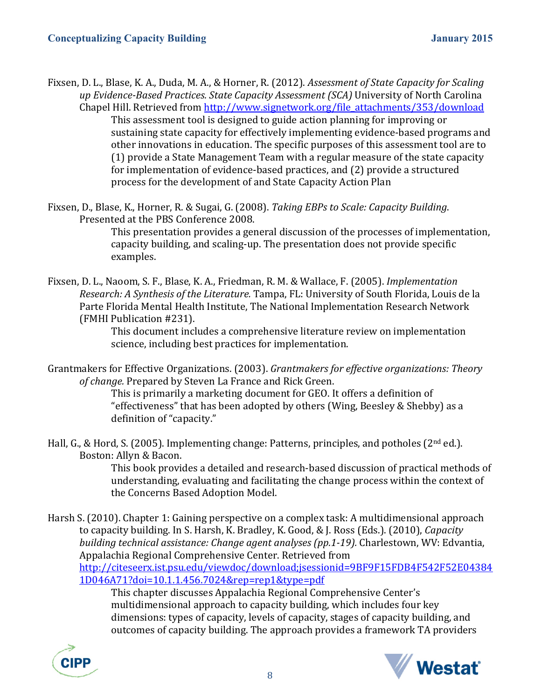Fixsen, D. L., Blase, K. A., Duda, M. A., & Horner, R. (2012). *Assessment of State Capacity for Scaling up Evidence-Based Practices. State Capacity Assessment (SCA)* University of North Carolina Chapel Hill. Retrieved from [http://www.signetwork.org/file\\_attachments/353/download](http://www.signetwork.org/file_attachments/353/download) This assessment tool is designed to guide action planning for improving or sustaining state capacity for effectively implementing evidence-based programs and other innovations in education. The specific purposes of this assessment tool are to (1) provide a State Management Team with a regular measure of the state capacity for implementation of evidence-based practices, and (2) provide a structured process for the development of and State Capacity Action Plan

Fixsen, D., Blase, K., Horner, R. & Sugai, G. (2008). *Taking EBPs to Scale: Capacity Building*. Presented at the PBS Conference 2008.

This presentation provides a general discussion of the processes of implementation, capacity building, and scaling-up. The presentation does not provide specific examples.

Fixsen, D. L., Naoom, S. F., Blase, K. A., Friedman, R. M. & Wallace, F. (2005). *Implementation Research: A Synthesis of the Literature.* Tampa, FL: University of South Florida, Louis de la Parte Florida Mental Health Institute, The National Implementation Research Network (FMHI Publication #231).

> This document includes a comprehensive literature review on implementation science, including best practices for implementation.

Grantmakers for Effective Organizations. (2003). *Grantmakers for effective organizations: Theory of change.* Prepared by Steven La France and Rick Green.

This is primarily a marketing document for GEO. It offers a definition of "effectiveness" that has been adopted by others (Wing, Beesley & Shebby) as a definition of "capacity."

Hall, G., & Hord, S. (2005). Implementing change: Patterns, principles, and potholes (2nd ed.). Boston: Allyn & Bacon.

This book provides a detailed and research-based discussion of practical methods of understanding, evaluating and facilitating the change process within the context of the Concerns Based Adoption Model.

Harsh S. (2010). Chapter 1: Gaining perspective on a complex task: A multidimensional approach to capacity building. In S. Harsh, K. Bradley, K. Good, & J. Ross (Eds.). (2010), *Capacity building technical assistance: Change agent analyses (pp.1-19).* Charlestown, WV: Edvantia, Appalachia Regional Comprehensive Center. Retrieved from [http://citeseerx.ist.psu.edu/viewdoc/download;jsessionid=9BF9F15FDB4F542F52E04384](http://citeseerx.ist.psu.edu/viewdoc/download;jsessionid=9BF9F15FDB4F542F52E043841D046A71?doi=10.1.1.456.7024&rep=rep1&type=pdf) [1D046A71?doi=10.1.1.456.7024&rep=rep1&type=pdf](http://citeseerx.ist.psu.edu/viewdoc/download;jsessionid=9BF9F15FDB4F542F52E043841D046A71?doi=10.1.1.456.7024&rep=rep1&type=pdf)

This chapter discusses Appalachia Regional Comprehensive Center's multidimensional approach to capacity building, which includes four key dimensions: types of capacity, levels of capacity, stages of capacity building, and outcomes of capacity building. The approach provides a framework TA providers